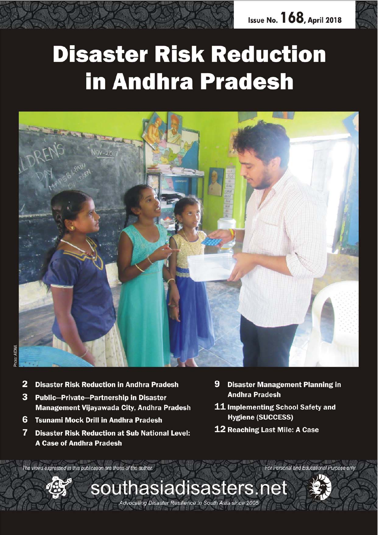

# **Disaster Risk Reduction in Andhra Pradesh**



- 2 **Disaster Risk Reduction in Andhra Pradesh**
- 3 Public-Private-Partnership in Disaster Management Vijayawada City, Andhra Pradesh
- 6 Tsunami Mock Drill in Andhra Pradesh
- 7 **Disaster Risk Reduction at Sub National Level: A Case of Andhra Pradesh**
- 9 **Disaster Management Planning in Andhra Pradesh**
- 11 Implementing School Safety and **Hygiene (SUCCESS)**
- **12 Reaching Last Mile: A Case**

The views expressed in this publication are those of the author.



southasiadisasters.net Advocating Disaster Resilience in South Asia since 2005



For Personal and Educational Purpose only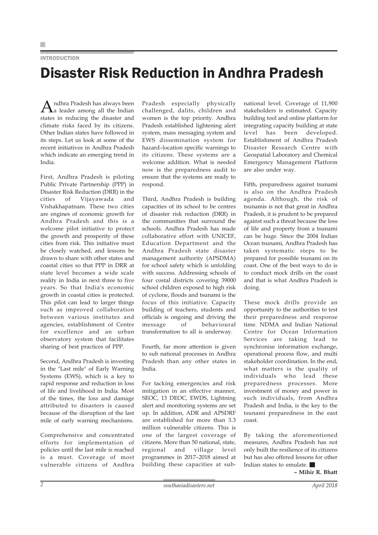## **INTRODUCTION**

## Disaster Risk Reduction in Andhra Pradesh

Andhra Pradesh has always been a leader among all the Indian states in reducing the disaster and climate risks faced by its citizens. Other Indian states have followed in its steps. Let us look at some of the recent initiatives in Andhra Pradesh which indicate an emerging trend in India.

First, Andhra Pradesh is piloting Public Private Partnership (PPP) in Disaster Risk Reduction (DRR) in the cities of Vijayawada and Vishakhapatnam. These two cities are engines of economic growth for Andhra Pradesh and this is a welcome pilot initiative to protect the growth and prosperity of these cities from risk. This initiative must be closely watched, and lessons be drawn to share with other states and coastal cities so that PPP in DRR at state level becomes a wide scale reality in India in next three to five years. So that India's economic growth in coastal cities is protected. This pilot can lead to larger things such as improved collaboration between various institutes and agencies, establishment of Centre for excellence and an urban observatory system that facilitates sharing of best practices of PPP.

Second, Andhra Pradesh is investing in the "Last mile" of Early Warning Systems (EWS), which is a key to rapid response and reduction in loss of life and livelihood in India. Most of the times, the loss and damage attributed to disasters is caused because of the disruption of the last mile of early warning mechanisms.

Comprehensive and concentrated efforts for implementation of policies until the last mile is reached is a must. Coverage of most vulnerable citizens of Andhra Pradesh especially physically challenged, dalits, children and women is the top priority. Andhra Pradesh established lightening alert system, mass messaging system and EWS dissemination system for hazard–location specific warnings to its citizens. These systems are a welcome addition. What is needed now is the preparedness audit to ensure that the systems are ready to respond.

Third, Andhra Pradesh is building capacities of its school to be centres of disaster risk reduction (DRR) in the communities that surround the schools. Andhra Pradesh has made collaborative effort with UNICEF, Education Department and the Andhra Pradesh state disaster management authority (APSDMA) for school safety which is unfolding with success. Addressing schools of four costal districts covering 39000 school children exposed to high risk of cyclone, floods and tsunami is the focus of this initiative. Capacity building of teachers, students and officials is ongoing and driving the message of behavioural transformation to all is underway.

Fourth, far more attention is given to sub national processes in Andhra Pradesh than any other states in India.

For tacking emergencies and risk mitigation in an effective manner, SEOC, 13 DEOC, EWDS, Lightning alert and monitoring systems are set up. In addition, ADR and APSDRF are established for more than 3.3 million vulnerable citizens. This is one of the largest coverage of citizens. More than 50 national, state, regional and village level programmes in 2017–2018 aimed at building these capacities at subnational level. Coverage of 11,900 stakeholders is estimated. Capacity building tool and online platform for integrating capacity building at state level has been developed. Establishment of Andhra Pradesh Disaster Research Centre with Geospatial Laboratory and Chemical Emergency Management Platform are also under way.

Fifth, preparedness against tsunami is also on the Andhra Pradesh agenda. Although, the risk of tsunamis is not that great in Andhra Pradesh, it is prudent to be prepared against such a threat because the loss of life and property from a tsunami can be huge. Since the 2004 Indian Ocean tsunami, Andhra Pradesh has taken systematic steps to be prepared for possible tsunami on its coast. One of the best ways to do is to conduct mock drills on the coast and that is what Andhra Pradesh is doing.

These mock drills provide an opportunity to the authorities to test their preparedness and response time. NDMA and Indian National Centre for Ocean Information Services are taking lead to synchronise information exchange, operational process flow, and multi stakeholder coordination. In the end, what matters is the quality of individuals who lead these preparedness processes. More investment of money and power in such individuals, from Andhra Pradesh and India, is the key to the tsunami preparedness in the east coast.

By taking the aforementioned measures, Andhra Pradesh has not only built the resilience of its citizens but has also offered lessons for other Indian states to emulate.

**– Mihir R. Bhatt**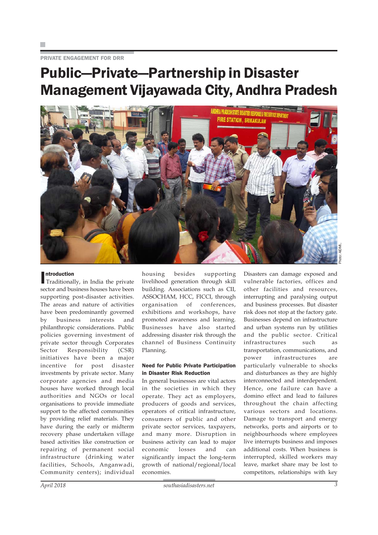PRIVATE ENGAGEMENT FOR DRR

## Public—Private—Partnership in Disaster Management Vijayawada City, Andhra Pradesh



## ntroduction

**Introduction**<br>Traditionally, in India the private sector and business houses have been supporting post-disaster activities. The areas and nature of activities have been predominantly governed by business interests and philanthropic considerations. Public policies governing investment of private sector through Corporates Sector Responsibility (CSR) initiatives have been a major incentive for post disaster investments by private sector. Many corporate agencies and media houses have worked through local authorities and NGOs or local organisations to provide immediate support to the affected communities by providing relief materials. They have during the early or midterm recovery phase undertaken village based activities like construction or repairing of permanent social infrastructure (drinking water facilities, Schools, Anganwadi, Community centers); individual

housing besides supporting livelihood generation through skill building. Associations such as CII, ASSOCHAM, HCC, FICCI, through organisation of conferences, exhibitions and workshops, have promoted awareness and learning. Businesses have also started addressing disaster risk through the channel of Business Continuity Planning.

## Need for Public Private Participation in Disaster Risk Reduction

In general businesses are vital actors in the societies in which they operate. They act as employers, producers of goods and services, operators of critical infrastructure, consumers of public and other private sector services, taxpayers, and many more. Disruption in business activity can lead to major economic losses and can significantly impact the long-term growth of national/regional/local economies.

Disasters can damage exposed and vulnerable factories, offices and other facilities and resources, interrupting and paralysing output and business processes. But disaster risk does not stop at the factory gate. Businesses depend on infrastructure and urban systems run by utilities and the public sector. Critical infrastructures such as transportation, communications, and power infrastructures are particularly vulnerable to shocks and disturbances as they are highly interconnected and interdependent. Hence, one failure can have a domino effect and lead to failures throughout the chain affecting various sectors and locations. Damage to transport and energy networks, ports and airports or to neighbourhoods where employees live interrupts business and imposes additional costs. When business is interrupted, skilled workers may leave, market share may be lost to competitors, relationships with key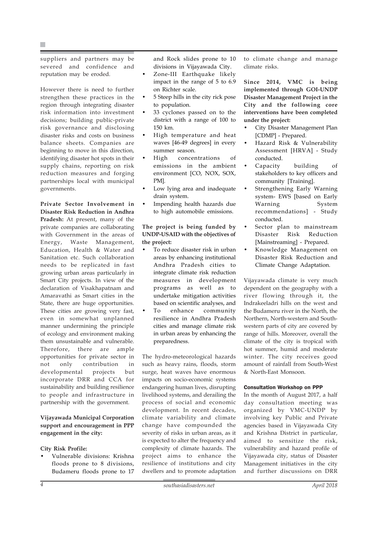suppliers and partners may be severed and confidence and reputation may be eroded.

However there is need to further strengthen these practices in the region through integrating disaster risk information into investment decisions; building public-private risk governance and disclosing disaster risks and costs on business balance sheets. Companies are beginning to move in this direction, identifying disaster hot spots in their supply chains, reporting on risk reduction measures and forging partnerships local with municipal governments.

**Private Sector Involvement in Disaster Risk Reduction in Andhra Pradesh:** At present, many of the private companies are collaborating with Government in the areas of Energy, Waste Management, Education, Health & Water and Sanitation etc. Such collaboration needs to be replicated in fast growing urban areas particularly in Smart City projects. In view of the declaration of Visakhapatnam and Amaravathi as Smart cities in the State, there are huge opportunities. These cities are growing very fast, even in somewhat unplanned manner undermining the principle of ecology and environment making them unsustainable and vulnerable. Therefore, there are ample opportunities for private sector in not only contribution in developmental projects but incorporate DRR and CCA for sustainability and building resilience to people and infrastructure in partnership with the government.

**Vijayawada Municipal Corporation support and encouragement in PPP engagement in the city:**

## **City Risk Profile:**

• Vulnerable divisions: Krishna floods prone to 8 divisions, Budameru floods prone to 17 and Rock slides prone to 10 divisions in Vijayawada City.

- Zone-III Earthquake likely impact in the range of 5 to 6.9 on Richter scale.
- 5 Steep hills in the city rick pose to population.
- 33 cyclones passed on to the district with a range of 100 to 150 km.
- High temperature and heat waves [46-49 degrees] in every summer season.
- High concentrations of emissions in the ambient environment [CO, NOX, SOX, PM].
- Low lying area and inadequate drain system.
- Impending health hazards due to high automobile emissions.

## **The project is being funded by UNDP-USAID with the objectives of the project:**

- To reduce disaster risk in urban areas by enhancing institutional Andhra Pradesh cities to integrate climate risk reduction measures in development programs as well as to undertake mitigation activities based on scientific analyses, and
- To enhance community resilience in Andhra Pradesh cities and manage climate risk in urban areas by enhancing the preparedness.

The hydro-meteorological hazards such as heavy rains, floods, storm surge, heat waves have enormous impacts on socio-economic systems endangering human lives, disrupting livelihood systems, and derailing the process of social and economic development. In recent decades, climate variability and climate change have compounded the severity of risks in urban areas, as it is expected to alter the frequency and complexity of climate hazards. The project aims to enhance the resilience of institutions and city dwellers and to promote adaptation

to climate change and manage climate risks.

**Since 2014, VMC is being implemented through GOI-UNDP Disaster Management Project in the City and the following core interventions have been completed under the project:**

- City Disaster Management Plan [CDMP] - Prepared.
- Hazard Risk & Vulnerability Assessment [HRVA] - Study conducted.
- Capacity building of stakeholders to key officers and community [Training].
- Strengthening Early Warning system- EWS [based on Early Warning System recommendations] - Study conducted.
- Sector plan to mainstream Disaster Risk Reduction [Mainstreaming] - Prepared.
- Knowledge Management on Disaster Risk Reduction and Climate Change Adaptation.

Vijayawada climate is very much dependent on the geography with a river flowing through it, the Indrakeeladri hills on the west and the Budameru river in the North, the Northern, North-western and Southwestern parts of city are covered by range of hills. Moreover, overall the climate of the city is tropical with hot summer, humid and moderate winter. The city receives good amount of rainfall from South-West & North-East Monsoon.

### Consultation Workshop on PPP

In the month of August 2017, a half day consultation meeting was organized by VMC-UNDP by involving key Public and Private agencies based in Vijayawada City and Krishna District in particular, aimed to sensitize the risk, vulnerability and hazard profile of Vijayawada city, status of Disaster Management initiatives in the city and further discussions on DRR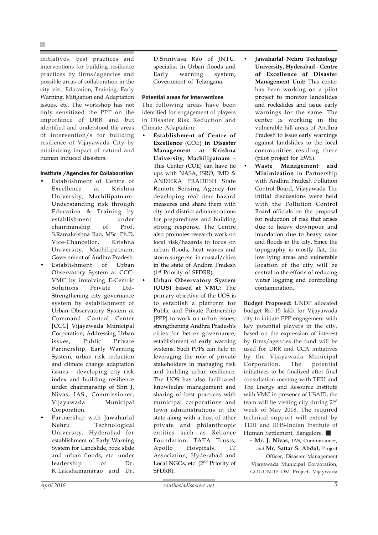initiatives, best practices and interventions for building resilience practices by firms/agencies and possible areas of collaboration in the city viz., Education, Training, Early Warning, Mitigation and Adaptation issues, etc. The workshop has not only sensitized the PPP on the importance of DRR and but identified and understood the areas of intervention/s for building resilience of Vijayawada City by minimizing impact of natural and human induced disasters.

## Institute /Agencies for Collaboration

- Establishment of Centre of Excellence at Krishna University, Machilipatnam-Understanding risk through Education & Training by establishment under chairmanship of Prof. S.Ramakrishna Rao, MSc. Ph.D, Vice-Chancellor, Krishna University, Machilipatnam, Government of Andhra Pradesh.
- Establishment of Urban Observatory System at CCC-VMC by involving E-Centric Solutions Private Ltd-Strengthening city governance system by establishment of Urban Observatory System at Command Control Center [CCC] Vijayawada Municipal Corporation; Addressing Urban issues, Public Private Partnership, Early Warning System, urban risk reduction and climate change adaptation issues - developing city risk index and building resilience under chairmanship of Shri J. Nivas, IAS., Commissioner, Vijayawada Municipal Corporation.
- Partnership with Jawaharlal Nehru Technological University, Hyderabad for establishment of Early Warning System for Landslide, rock slide and urban floods, etc. under leadership of Dr. K.Lakshamanarao and Dr.

D.Srinivasa Rao of JNTU, specialist in Urban floods and Early warning system, Government of Telangana.

#### Potential areas for Interventions

The following areas have been identified for engagement of players in Disaster Risk Reduction and Climate Adaptation:

- **Establishment of Centre of Excellence** (COE) **in Disaster Management at Krishna University, Machilipatnam** – This Center (COE) can have tie ups with NASA, ISRO, IMD & ANDHRA PRADESH State Remote Sensing Agency for developing real time hazard measures and share them with city and district administrations for preparedness and building strong response. The Centre also promotes research work on local risk/hazards to focus on urban floods, heat waves and storm surge etc. in coastal/cities in the state of Andhra Pradesh (1st Priority of SFDRR).
- **Urban Observatory System (UOS) based at VMC:** The primary objective of the UOS is to establish a platform for Public and Private Partnership [PPP] to work on urban issues, strengthening Andhra Pradesh's cities for better governance, establishment of early warning systems. Such PPPs can help in leveraging the role of private stakeholders in managing risk and building urban resilience. The UOS has also facilitated knowledge management and sharing of best practices with municipal corporations and town administrations in the state along with a host of other private and philanthropic entities such as Reliance Foundation, TATA Trusts, Apollo Hospitals, IT Association, Hyderabad and Local NGOs, etc. (2nd Priority of SFDRR).
- **Jawaharlal Nehru Technology University, Hyderabad - Centre of Excellence of Disaster Management Unit:** This center has been working on a pilot project to monitor landslides and rockslides and issue early warnings for the same. The center is working in the vulnerable hill areas of Andhra Pradesh to issue early warnings against landslides to the local communities residing there (pilot project for EWS).
- **Waste Management and Minimization** in Partnership with Andhra Pradesh Pollution Control Board, Vijayawada The initial discussions were held with the Pollution Control Board officials on the proposal for reduction of risk that arises due to heavy downpour and inundation due to heavy rains and floods in the city. Since the topography is mostly flat, the low lying areas and vulnerable location of the city will be central to the efforts of reducing water logging and controlling contamination.

**Budget Proposed:** UNDP allocated budget Rs. 15 lakh for Vijayawada city to initiate PPP engagement with key potential players in the city, based on the expression of interest by firms/agencies the fund will be used for DRR and CCA initiatives by the Vijayawada Municipal Corporation. The potential initiatives to be finalized after final consultation meeting with TERI and The Energy and Resource Institute with VMC in presence of USAID, the team will be visiting city during 2nd week of May 2018. The required technical support will extend by TERI and IIHS-Indian Institute of Human Settlement, Bangalore.

**– Mr. J. Nivas,** IAS, Commissioner, *and* **Mr. Sattar S. Abdul,** Project

Officer, Disaster Management Vijayawada Municipal Corporation, GOI–UNDP DM Project, Vijaywada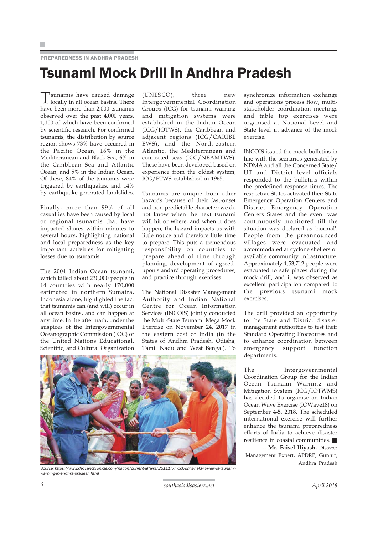### PREPAREDNESS IN ANDHRA PRADESH

## Tsunami Mock Drill in Andhra Pradesh

Tsunamis have caused damage locally in all ocean basins. There have been more than 2,000 tsunamis observed over the past 4,000 years, 1,100 of which have been confirmed by scientific research. For confirmed tsunamis, the distribution by source region shows 73% have occurred in the Pacific Ocean, 16% in the Mediterranean and Black Sea, 6% in the Caribbean Sea and Atlantic Ocean, and 5% in the Indian Ocean. Of these, 84% of the tsunamis were triggered by earthquakes, and 14% by earthquake-generated landslides.

Finally, more than 99% of all casualties have been caused by local or regional tsunamis that have impacted shores within minutes to several hours, highlighting national and local preparedness as the key important activities for mitigating losses due to tsunamis.

The 2004 Indian Ocean tsunami, which killed about 230,000 people in 14 countries with nearly 170,000 estimated in northern Sumatra, Indonesia alone, highlighted the fact that tsunamis can (and will) occur in all ocean basins, and can happen at any time. In the aftermath, under the auspices of the Intergovernmental Oceanographic Commission (IOC) of the United Nations Educational, Scientific, and Cultural Organization

(UNESCO), three new Intergovernmental Coordination Groups (ICG) for tsunami warning and mitigation systems were established in the Indian Ocean (ICG/IOTWS), the Caribbean and adjacent regions (ICG/CARIBE EWS), and the North-eastern Atlantic, the Mediterranean and connected seas (ICG/NEAMTWS). These have been developed based on experience from the oldest system, ICG/PTWS established in 1965.

Tsunamis are unique from other hazards because of their fast-onset and non-predictable character; we do not know when the next tsunami will hit or where, and when it does happen, the hazard impacts us with little notice and therefore little time to prepare. This puts a tremendous responsibility on countries to prepare ahead of time through planning, development of agreedupon standard operating procedures, and practice through exercises.

The National Disaster Management Authority and Indian National Centre for Ocean Information Services (INCOIS) jointly conducted the Multi-State Tsunami Mega Mock Exercise on November 24, 2017 in the eastern cost of India (in the States of Andhra Pradesh, Odisha, Tamil Nadu and West Bengal). To synchronize information exchange and operations process flow, multistakeholder coordination meetings and table top exercises were organised at National Level and State level in advance of the mock exercise.

INCOIS issued the mock bulletins in line with the scenarios generated by NDMA and all the Concerned State/ UT and District level officials responded to the bulletins within the predefined response times. The respective States activated their State Emergency Operation Centers and District Emergency Operation Centers States and the event was continuously monitored till the situation was declared as 'normal'. People from the preannounced villages were evacuated and accommodated at cyclone shelters or available community infrastructure. Approximately 1,53,712 people were evacuated to safe places during the mock drill, and it was observed as excellent participation compared to the previous tsunami mock exercises.

The drill provided an opportunity to the State and District disaster management authorities to test their Standard Operating Procedures and to enhance coordination between emergency support function departments.

The Intergovernmental Coordination Group for the Indian Ocean Tsunami Warning and Mitigation System (ICG/IOTWMS) has decided to organise an Indian Ocean Wave Exercise (IOWave18) on September 4-5, 2018. The scheduled international exercise will further enhance the tsunami preparedness efforts of India to achieve disaster resilience in coastal communities. **– Mr. Faisel Iliyash,** Disaster

Management Expert, APDRP, Guntur, Andhra Pradesh



*Source: https://www.deccanchronicle.com/nation/current-affairs/251117/mock-drills-held-in-view-of-tsunamiwarning-in-andhra-pradesh.html*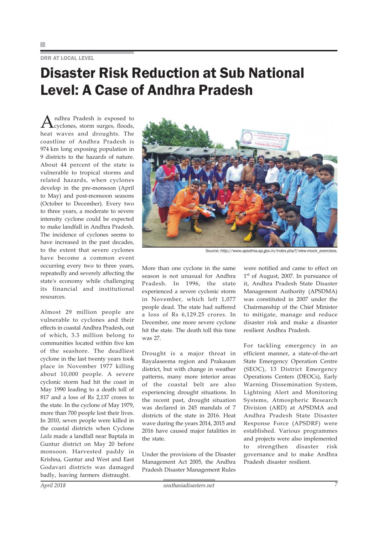## DRR AT LOCAL LEVEL

## Disaster Risk Reduction at Sub National Level: A Case of Andhra Pradesh

Andhra Pradesh is exposed to<br>Cyclones, storm surges, floods, heat waves and droughts. The coastline of Andhra Pradesh is 974 km long exposing population in 9 districts to the hazards of nature. About 44 percent of the state is vulnerable to tropical storms and related hazards, when cyclones develop in the pre-monsoon (April to May) and post-monsoon seasons (October to December). Every two to three years, a moderate to severe intensity cyclone could be expected to make landfall in Andhra Pradesh. The incidence of cyclones seems to have increased in the past decades, to the extent that severe cyclones have become a common event occurring every two to three years, repeatedly and severely affecting the state's economy while challenging its financial and institutional resources.

Almost 29 million people are vulnerable to cyclones and their effects in coastal Andhra Pradesh, out of which, 3.3 million belong to communities located within five km of the seashore. The deadliest cyclone in the last twenty years took place in November 1977 killing about 10,000 people. A severe cyclonic storm had hit the coast in May 1990 leading to a death toll of 817 and a loss of Rs 2,137 crores to the state. In the cyclone of May 1979, more than 700 people lost their lives. In 2010, seven people were killed in the coastal districts when Cyclone *Laila* made a landfall near Baptala in Guntur district on May 20 before monsoon. Harvested paddy in Krishna, Guntur and West and East Godavari districts was damaged badly, leaving farmers distraught.



*Source: http://www.apsdma.ap.gov.in/index.php?/view-mock\_exercises.*

More than one cyclone in the same season is not unusual for Andhra Pradesh. In 1996, the state experienced a severe cyclonic storm in November, which left 1,077 people dead. The state had suffered a loss of Rs 6,129.25 crores. In December, one more severe cyclone hit the state. The death toll this time was 27.

Drought is a major threat in Rayalaseema region and Prakasam district, but with change in weather patterns, many more interior areas of the coastal belt are also experiencing drought situations. In the recent past, drought situation was declared in 245 mandals of 7 districts of the state in 2016. Heat wave during the years 2014, 2015 and 2016 have caused major fatalities in the state.

Under the provisions of the Disaster Management Act 2005, the Andhra Pradesh Disaster Management Rules

were notified and came to effect on 1<sup>st</sup> of August, 2007. In pursuance of it, Andhra Pradesh State Disaster Management Authority (APSDMA) was constituted in 2007 under the Chairmanship of the Chief Minister to mitigate, manage and reduce disaster risk and make a disaster resilient Andhra Pradesh.

For tackling emergency in an efficient manner, a state-of-the-art State Emergency Operation Centre (SEOC), 13 District Emergency Operations Centers (DEOCs), Early Warning Dissemination System, Lightning Alert and Monitoring Systems, Atmospheric Research Division (ARD) at APSDMA and Andhra Pradesh State Disaster Response Force (APSDRF) were established. Various programmes and projects were also implemented to strengthen disaster risk governance and to make Andhra Pradesh disaster resilient.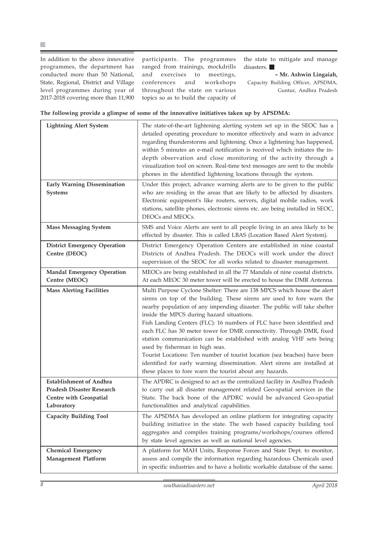In addition to the above innovative programmes, the department has conducted more than 50 National, State, Regional, District and Village level programmes during year of 2017-2018 covering more than 11,900

participants. The programmes ranged from trainings, mockdrills and exercises to meetings, conferences and workshops throughout the state on various topics so as to build the capacity of the state to mitigate and manage disasters.  $\blacksquare$ 

**– Mr. Ashwin Lingaiah,** Capacity Building Officer, APSDMA, Guntur, Andhra Pradesh

|  | The following provide a glimpse of some of the innovative initiatives taken up by APSDMA: |  |
|--|-------------------------------------------------------------------------------------------|--|
|  |                                                                                           |  |

| <b>Lightning Alert System</b>                                                                              | The state-of-the-art lightening alerting system set up in the SEOC has a<br>detailed operating procedure to monitor effectively and warn in advance<br>regarding thunderstorms and lightening. Once a lightening has happened,<br>within 5 minutes an e-mail notification is received which initiates the in-<br>depth observation and close monitoring of the activity through a<br>visualization tool on screen. Real-time text messages are sent to the mobile<br>phones in the identified lightening locations through the system.                                                                                                                                                                                                                       |
|------------------------------------------------------------------------------------------------------------|--------------------------------------------------------------------------------------------------------------------------------------------------------------------------------------------------------------------------------------------------------------------------------------------------------------------------------------------------------------------------------------------------------------------------------------------------------------------------------------------------------------------------------------------------------------------------------------------------------------------------------------------------------------------------------------------------------------------------------------------------------------|
| <b>Early Warning Dissemination</b><br><b>Systems</b>                                                       | Under this project, advance warning alerts are to be given to the public<br>who are residing in the areas that are likely to be affected by disasters.<br>Electronic equipment's like routers, servers, digital mobile radios, work<br>stations, satellite phones, electronic sirens etc. are being installed in SEOC,<br>DEOCs and MEOCs.                                                                                                                                                                                                                                                                                                                                                                                                                   |
| <b>Mass Messaging System</b>                                                                               | SMS and Voice Alerts are sent to all people living in an area likely to be<br>effected by disaster. This is called LBAS (Location Based Alert System).                                                                                                                                                                                                                                                                                                                                                                                                                                                                                                                                                                                                       |
| <b>District Emergency Operation</b><br>Centre (DEOC)                                                       | District Emergency Operation Centers are established in nine coastal<br>Districts of Andhra Pradesh. The DEOCs will work under the direct<br>supervision of the SEOC for all works related to disaster management.                                                                                                                                                                                                                                                                                                                                                                                                                                                                                                                                           |
| <b>Mandal Emergency Operation</b><br>Centre (MEOC)                                                         | MEOCs are being established in all the 77 Mandals of nine coastal districts.<br>At each MEOC 30 meter tower will be erected to house the DMR Antenna.                                                                                                                                                                                                                                                                                                                                                                                                                                                                                                                                                                                                        |
| <b>Mass Alerting Facilities</b>                                                                            | Multi Purpose Cyclone Shelter: There are 138 MPCS which house the alert<br>sirens on top of the building. These sirens are used to fore warn the<br>nearby population of any impending disaster. The public will take shelter<br>inside the MPCS during hazard situations.<br>Fish Landing Centers (FLC): 16 numbers of FLC have been identified and<br>each FLC has 30 meter tower for DMR connectivity. Through DMR, fixed<br>station communication can be established with analog VHF sets being<br>used by fisherman in high seas.<br>Tourist Locations: Ten number of tourist location (sea beaches) have been<br>identified for early warning dissemination. Alert sirens are installed at<br>these places to fore warn the tourist about any hazards. |
| <b>Establishment of Andhra</b><br><b>Pradesh Disaster Research</b><br>Centre with Geospatial<br>Laboratory | The APDRC is designed to act as the centralized facility in Andhra Pradesh<br>to carry out all disaster management related Geo-spatial services in the<br>State. The back bone of the APDRC would be advanced Geo-spatial<br>functionalities and analytical capabilities.                                                                                                                                                                                                                                                                                                                                                                                                                                                                                    |
| <b>Capacity Building Tool</b>                                                                              | The APSDMA has developed an online platform for integrating capacity<br>building initiative in the state. The web based capacity building tool<br>aggregates and compiles training programs/workshops/courses offered<br>by state level agencies as well as national level agencies.                                                                                                                                                                                                                                                                                                                                                                                                                                                                         |
| <b>Chemical Emergency</b><br><b>Management Platform</b>                                                    | A platform for MAH Units, Response Forces and State Dept. to monitor,<br>assess and compile the information regarding hazardous Chemicals used<br>in specific industries and to have a holistic workable database of the same.                                                                                                                                                                                                                                                                                                                                                                                                                                                                                                                               |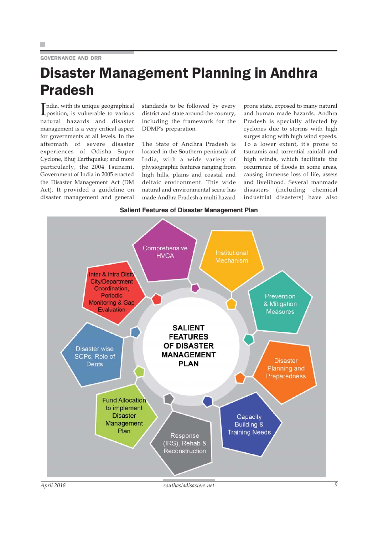## GOVERNANCE AND DRR

## Disaster Management Planning in Andhra Pradesh

India, with its unique geographical<br>position, is vulnerable to various position, is vulnerable to various natural hazards and disaster management is a very critical aspect for governments at all levels. In the aftermath of severe disaster experiences of Odisha Super Cyclone, Bhuj Earthquake; and more particularly, the 2004 Tsunami, Government of India in 2005 enacted the Disaster Management Act (DM Act). It provided a guideline on disaster management and general

standards to be followed by every district and state around the country, including the framework for the DDMP's preparation.

The State of Andhra Pradesh is located in the Southern peninsula of India, with a wide variety of physiographic features ranging from high hills, plains and coastal and deltaic environment. This wide natural and environmental scene has made Andhra Pradesh a multi hazard

prone state, exposed to many natural and human made hazards. Andhra Pradesh is specially affected by cyclones due to storms with high surges along with high wind speeds. To a lower extent, it's prone to tsunamis and torrential rainfall and high winds, which facilitate the occurrence of floods in some areas, causing immense loss of life, assets and livelihood. Several manmade disasters (including chemical industrial disasters) have also



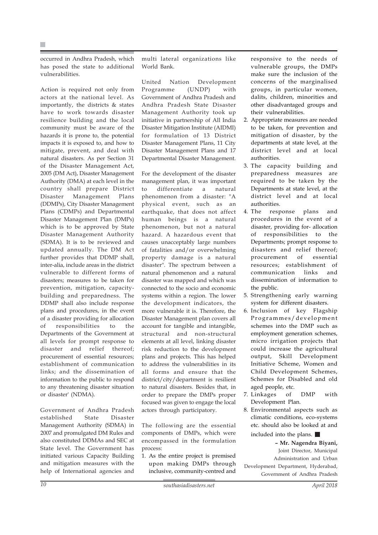occurred in Andhra Pradesh, which has posed the state to additional vulnerabilities.

Action is required not only from actors at the national level. As importantly, the districts & states have to work towards disaster resilience building and the local community must be aware of the hazards it is prone to, the potential impacts it is exposed to, and how to mitigate, prevent, and deal with natural disasters. As per Section 31 of the Disaster Management Act, 2005 (DM Act), Disaster Management Authority (DMA) at each level in the country shall prepare District Disaster Management Plans (DDMPs), City Disaster Management Plans (CDMPs) and Departmental Disaster Management Plan (DMPs) which is to be approved by State Disaster Management Authority (SDMA). It is to be reviewed and updated annually. The DM Act further provides that DDMP shall, inter-alia, include areas in the district vulnerable to different forms of disasters; measures to be taken for prevention, mitigation, capacitybuilding and preparedness. The DDMP shall also include response plans and procedures, in the event of a disaster providing for allocation of responsibilities to the Departments of the Government at all levels for prompt response to disaster and relief thereof; procurement of essential resources; establishment of communication links; and the dissemination of information to the public to respond to any threatening disaster situation or disaster' (NDMA).

Government of Andhra Pradesh established State Disaster Management Authority (SDMA) in 2007 and promulgated DM Rules and also constituted DDMAs and SEC at State level. The Government has initiated various Capacity Building and mitigation measures with the help of International agencies and

multi lateral organizations like World Bank.

United Nation Development Programme (UNDP) with Government of Andhra Pradesh and Andhra Pradesh State Disaster Management Authority took up initiative in partnership of All India Disaster Mitigation Institute (AIDMI) for formulation of 13 District Disaster Management Plans, 11 City Disaster Management Plans and 17 Departmental Disaster Management.

For the development of the disaster management plan, it was important to differentiate a natural phenomenon from a disaster: "A physical event, such as an earthquake, that does not affect human beings is a natural phenomenon, but not a natural hazard. A hazardous event that causes unacceptably large numbers of fatalities and/or overwhelming property damage is a natural disaster". The spectrum between a natural phenomenon and a natural disaster was mapped and which was connected to the socio and economic systems within a region. The lower the development indicators, the more vulnerable it is. Therefore, the Disaster Management plan covers all account for tangible and intangible, structural and non-structural elements at all level, linking disaster risk reduction to the development plans and projects. This has helped to address the vulnerabilities in its all forms and ensure that the district/city/department is resilient to natural disasters. Besides that, in order to prepare the DMPs proper focused was given to engage the local actors through participatory.

The following are the essential components of DMPs, which were encompassed in the formulation process:

1. As the entire project is premised upon making DMPs through inclusive, community-centred and responsive to the needs of vulnerable groups, the DMPs make sure the inclusion of the concerns of the marginalised groups, in particular women, dalits, children, minorities and other disadvantaged groups and their vulnerabilities.

- 2. Appropriate measures are needed to be taken, for prevention and mitigation of disaster, by the departments at state level, at the district level and at local authorities.
- 3. The capacity building and preparedness measures are required to be taken by the Departments at state level, at the district level and at local authorities.
- 4. The response plans and procedures in the event of a disaster, providing for- allocation of responsibilities to the Departments; prompt response to disasters and relief thereof; procurement of essential resources; establishment of communication links and dissemination of information to the public.
- 5. Strengthening early warning system for different disasters.
- 6. Inclusion of key Flagship Programmes/development schemes into the DMP such as employment generation schemes, micro irrigation projects that could increase the agricultural output, Skill Development Initiative Scheme, Women and Child Development Schemes, Schemes for Disabled and old aged people, etc.
- 7. Linkages of DMP with Development Plan.
- 8. Environmental aspects such as climatic conditions, eco-systems etc. should also be looked at and included into the plans.

**– Mr. Nagendra Biyani,** Joint Director, Municipal Administration and Urban Development Department, Hyderabad, Government of Andhra Pradesh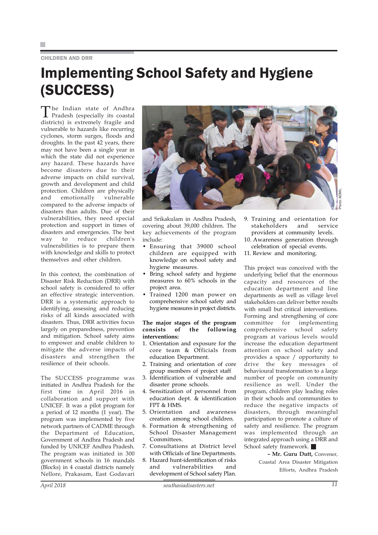## CHILDREN AND DRR

## Implementing School Safety and Hygiene (SUCCESS)

The Indian state of Andhra Pradesh (especially its coastal districts) is extremely fragile and vulnerable to hazards like recurring cyclones, storm surges, floods and droughts. In the past 42 years, there may not have been a single year in which the state did not experience any hazard. These hazards have become disasters due to their adverse impacts on child survival, growth and development and child protection. Children are physically and emotionally vulnerable compared to the adverse impacts of disasters than adults. Due of their vulnerabilities, they need special protection and support in times of disasters and emergencies. The best way to reduce children's vulnerabilities is to prepare them with knowledge and skills to protect themselves and other children.

In this context, the combination of Disaster Risk Reduction (DRR) with school safety is considered to offer an effective strategic intervention. DRR is a systematic approach to identifying, assessing and reducing risks of all kinds associated with disasters. Thus, DRR activities focus largely on preparedness, prevention and mitigation. School safety aims to empower and enable children to mitigate the adverse impacts of disasters and strengthen the resilience of their schools.

The SUCCESS programme was initiated in Andhra Pradesh for the first time in April 2016 in collaboration and support with UNICEF. It was a pilot program for a period of 12 months (1 year). The program was implemented by five network partners of CADME through the Department of Education, Government of Andhra Pradesh and funded by UNICEF Andhra Pradesh. The program was initiated in 300 government schools in 16 mandals (Blocks) in 4 coastal districts namely Nellore, Prakasam, East Godavari



and Srikakulam in Andhra Pradesh, covering about 39,000 children. The key achievements of the program include:

- Ensuring that 39000 school children are equipped with knowledge on school safety and hygiene measures.
- Bring school safety and hygiene measures to 60% schools in the project area.
- Trained 1200 man power on comprehensive school safety and hygiene measures in project districts.

## **The major stages of the program consists of the following interventions:**

- 1. Orientation and exposure for the core team & Officials from education Department.
- 2. Training and orientation of core group members of project staff
- 3. Identification of vulnerable and disaster prone schools.
- 4. Sensitization of personnel from education dept. & identification FPT & HMS.
- 5. Orientation and awareness creation among school children.
- 6. Formation & strengthening of School Disaster Management Committees.
- 7. Consultations at District level with Officials of line Departments.
- 8. Hazard hunt-identification of risks and vulnerabilities and development of School safety Plan.

9. Training and orientation for stakeholders and service providers at community levels. 10. Awareness generation through

celebration of special events.

11. Review and monitoring.

This project was conceived with the underlying belief that the enormous capacity and resources of the education department and line departments as well as village level stakeholders can deliver better results with small but critical interventions. Forming and strengthening of core committee for implementing comprehensive school safety program at various levels would increase the education department attention on school safety and provides a space / opportunity to drive the key messages of behavioural transformation to a large number of people on community resilience as well. Under the program, children play leading roles in their schools and communities to reduce the negative impacts of disasters, through meaningful participation to promote a culture of safety and resilience. The program was implemented through an integrated approach using a DRR and School safety framework.

> **– Mr. Guru Dutt,** Convener, Coastal Area Disaster Mitigation Efforts, Andhra Pradesh